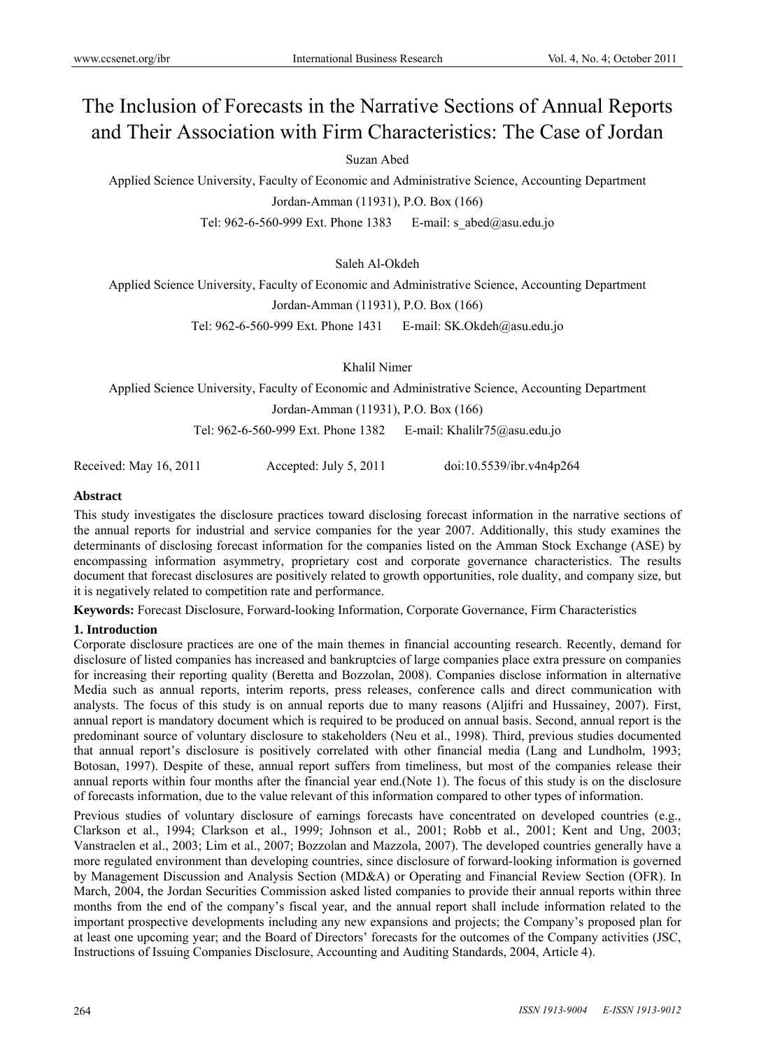# The Inclusion of Forecasts in the Narrative Sections of Annual Reports and Their Association with Firm Characteristics: The Case of Jordan

Suzan Abed

Applied Science University, Faculty of Economic and Administrative Science, Accounting Department Jordan-Amman (11931), P.O. Box (166)

Tel: 962-6-560-999 Ext. Phone 1383 E-mail: s abed@asu.edu.jo

Saleh Al-Okdeh

Applied Science University, Faculty of Economic and Administrative Science, Accounting Department Jordan-Amman (11931), P.O. Box (166)

Tel: 962-6-560-999 Ext. Phone 1431 E-mail: SK.Okdeh@asu.edu.jo

Khalil Nimer

Applied Science University, Faculty of Economic and Administrative Science, Accounting Department Jordan-Amman (11931), P.O. Box (166) Tel: 962-6-560-999 Ext. Phone 1382 E-mail: Khalilr75@asu.edu.jo

Received: May 16, 2011 Accepted: July 5, 2011 doi:10.5539/ibr.v4n4p264

#### **Abstract**

This study investigates the disclosure practices toward disclosing forecast information in the narrative sections of the annual reports for industrial and service companies for the year 2007. Additionally, this study examines the determinants of disclosing forecast information for the companies listed on the Amman Stock Exchange (ASE) by encompassing information asymmetry, proprietary cost and corporate governance characteristics. The results document that forecast disclosures are positively related to growth opportunities, role duality, and company size, but it is negatively related to competition rate and performance.

**Keywords:** Forecast Disclosure, Forward-looking Information, Corporate Governance, Firm Characteristics

# **1. Introduction**

Corporate disclosure practices are one of the main themes in financial accounting research. Recently, demand for disclosure of listed companies has increased and bankruptcies of large companies place extra pressure on companies for increasing their reporting quality (Beretta and Bozzolan, 2008). Companies disclose information in alternative Media such as annual reports, interim reports, press releases, conference calls and direct communication with analysts. The focus of this study is on annual reports due to many reasons (Aljifri and Hussainey, 2007). First, annual report is mandatory document which is required to be produced on annual basis. Second, annual report is the predominant source of voluntary disclosure to stakeholders (Neu et al., 1998). Third, previous studies documented that annual report's disclosure is positively correlated with other financial media (Lang and Lundholm, 1993; Botosan, 1997). Despite of these, annual report suffers from timeliness, but most of the companies release their annual reports within four months after the financial year end.(Note 1). The focus of this study is on the disclosure of forecasts information, due to the value relevant of this information compared to other types of information.

Previous studies of voluntary disclosure of earnings forecasts have concentrated on developed countries (e.g., Clarkson et al., 1994; Clarkson et al., 1999; Johnson et al., 2001; Robb et al., 2001; Kent and Ung, 2003; Vanstraelen et al., 2003; Lim et al., 2007; Bozzolan and Mazzola, 2007). The developed countries generally have a more regulated environment than developing countries, since disclosure of forward-looking information is governed by Management Discussion and Analysis Section (MD&A) or Operating and Financial Review Section (OFR). In March, 2004, the Jordan Securities Commission asked listed companies to provide their annual reports within three months from the end of the company's fiscal year, and the annual report shall include information related to the important prospective developments including any new expansions and projects; the Company's proposed plan for at least one upcoming year; and the Board of Directors' forecasts for the outcomes of the Company activities (JSC, Instructions of Issuing Companies Disclosure, Accounting and Auditing Standards, 2004, Article 4).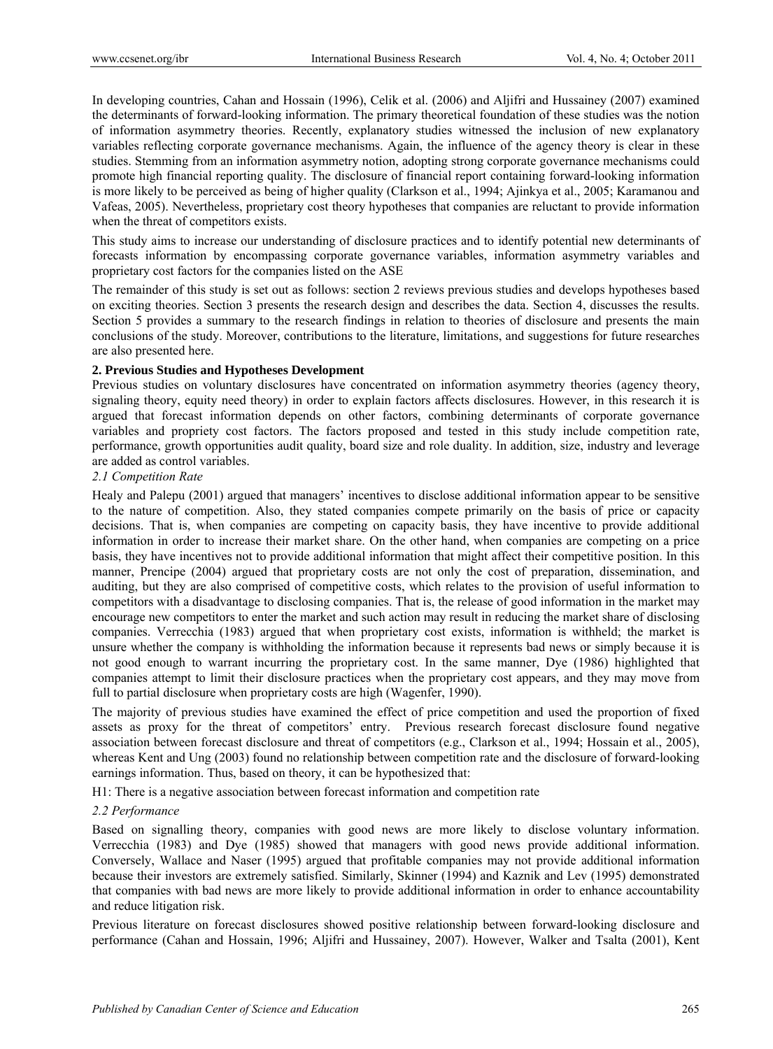In developing countries, Cahan and Hossain (1996), Celik et al. (2006) and Aljifri and Hussainey (2007) examined the determinants of forward-looking information. The primary theoretical foundation of these studies was the notion of information asymmetry theories. Recently, explanatory studies witnessed the inclusion of new explanatory variables reflecting corporate governance mechanisms. Again, the influence of the agency theory is clear in these studies. Stemming from an information asymmetry notion, adopting strong corporate governance mechanisms could promote high financial reporting quality. The disclosure of financial report containing forward-looking information is more likely to be perceived as being of higher quality (Clarkson et al., 1994; Ajinkya et al., 2005; Karamanou and Vafeas, 2005). Nevertheless, proprietary cost theory hypotheses that companies are reluctant to provide information when the threat of competitors exists.

This study aims to increase our understanding of disclosure practices and to identify potential new determinants of forecasts information by encompassing corporate governance variables, information asymmetry variables and proprietary cost factors for the companies listed on the ASE

The remainder of this study is set out as follows: section 2 reviews previous studies and develops hypotheses based on exciting theories. Section 3 presents the research design and describes the data. Section 4, discusses the results. Section 5 provides a summary to the research findings in relation to theories of disclosure and presents the main conclusions of the study. Moreover, contributions to the literature, limitations, and suggestions for future researches are also presented here.

# **2. Previous Studies and Hypotheses Development**

Previous studies on voluntary disclosures have concentrated on information asymmetry theories (agency theory, signaling theory, equity need theory) in order to explain factors affects disclosures. However, in this research it is argued that forecast information depends on other factors, combining determinants of corporate governance variables and propriety cost factors. The factors proposed and tested in this study include competition rate, performance, growth opportunities audit quality, board size and role duality. In addition, size, industry and leverage are added as control variables.

# *2.1 Competition Rate*

Healy and Palepu (2001) argued that managers' incentives to disclose additional information appear to be sensitive to the nature of competition. Also, they stated companies compete primarily on the basis of price or capacity decisions. That is, when companies are competing on capacity basis, they have incentive to provide additional information in order to increase their market share. On the other hand, when companies are competing on a price basis, they have incentives not to provide additional information that might affect their competitive position. In this manner, Prencipe (2004) argued that proprietary costs are not only the cost of preparation, dissemination, and auditing, but they are also comprised of competitive costs, which relates to the provision of useful information to competitors with a disadvantage to disclosing companies. That is, the release of good information in the market may encourage new competitors to enter the market and such action may result in reducing the market share of disclosing companies. Verrecchia (1983) argued that when proprietary cost exists, information is withheld; the market is unsure whether the company is withholding the information because it represents bad news or simply because it is not good enough to warrant incurring the proprietary cost. In the same manner, Dye (1986) highlighted that companies attempt to limit their disclosure practices when the proprietary cost appears, and they may move from full to partial disclosure when proprietary costs are high (Wagenfer, 1990).

The majority of previous studies have examined the effect of price competition and used the proportion of fixed assets as proxy for the threat of competitors' entry. Previous research forecast disclosure found negative association between forecast disclosure and threat of competitors (e.g., Clarkson et al., 1994; Hossain et al., 2005), whereas Kent and Ung (2003) found no relationship between competition rate and the disclosure of forward-looking earnings information. Thus, based on theory, it can be hypothesized that:

H1: There is a negative association between forecast information and competition rate

# *2.2 Performance*

Based on signalling theory, companies with good news are more likely to disclose voluntary information. Verrecchia (1983) and Dye (1985) showed that managers with good news provide additional information. Conversely, Wallace and Naser (1995) argued that profitable companies may not provide additional information because their investors are extremely satisfied. Similarly, Skinner (1994) and Kaznik and Lev (1995) demonstrated that companies with bad news are more likely to provide additional information in order to enhance accountability and reduce litigation risk.

Previous literature on forecast disclosures showed positive relationship between forward-looking disclosure and performance (Cahan and Hossain, 1996; Aljifri and Hussainey, 2007). However, Walker and Tsalta (2001), Kent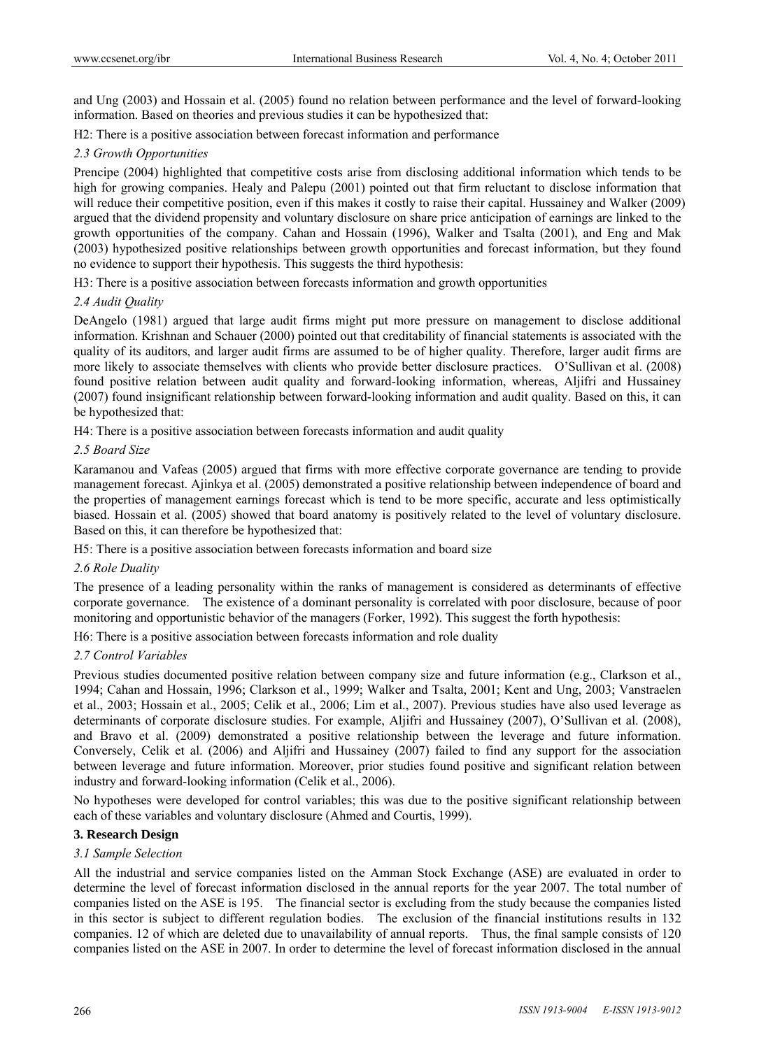and Ung (2003) and Hossain et al. (2005) found no relation between performance and the level of forward-looking information. Based on theories and previous studies it can be hypothesized that:

H2: There is a positive association between forecast information and performance

# *2.3 Growth Opportunities*

Prencipe (2004) highlighted that competitive costs arise from disclosing additional information which tends to be high for growing companies. Healy and Palepu (2001) pointed out that firm reluctant to disclose information that will reduce their competitive position, even if this makes it costly to raise their capital. Hussainey and Walker (2009) argued that the dividend propensity and voluntary disclosure on share price anticipation of earnings are linked to the growth opportunities of the company. Cahan and Hossain (1996), Walker and Tsalta (2001), and Eng and Mak (2003) hypothesized positive relationships between growth opportunities and forecast information, but they found no evidence to support their hypothesis. This suggests the third hypothesis:

H3: There is a positive association between forecasts information and growth opportunities

# *2.4 Audit Quality*

DeAngelo (1981) argued that large audit firms might put more pressure on management to disclose additional information. Krishnan and Schauer (2000) pointed out that creditability of financial statements is associated with the quality of its auditors, and larger audit firms are assumed to be of higher quality. Therefore, larger audit firms are more likely to associate themselves with clients who provide better disclosure practices. O'Sullivan et al. (2008) found positive relation between audit quality and forward-looking information, whereas, Aljifri and Hussainey (2007) found insignificant relationship between forward-looking information and audit quality. Based on this, it can be hypothesized that:

H4: There is a positive association between forecasts information and audit quality

## *2.5 Board Size*

Karamanou and Vafeas (2005) argued that firms with more effective corporate governance are tending to provide management forecast. Ajinkya et al. (2005) demonstrated a positive relationship between independence of board and the properties of management earnings forecast which is tend to be more specific, accurate and less optimistically biased. Hossain et al. (2005) showed that board anatomy is positively related to the level of voluntary disclosure. Based on this, it can therefore be hypothesized that:

H5: There is a positive association between forecasts information and board size

#### *2.6 Role Duality*

The presence of a leading personality within the ranks of management is considered as determinants of effective corporate governance. The existence of a dominant personality is correlated with poor disclosure, because of poor monitoring and opportunistic behavior of the managers (Forker, 1992). This suggest the forth hypothesis:

H6: There is a positive association between forecasts information and role duality

#### *2.7 Control Variables*

Previous studies documented positive relation between company size and future information (e.g., Clarkson et al., 1994; Cahan and Hossain, 1996; Clarkson et al., 1999; Walker and Tsalta, 2001; Kent and Ung, 2003; Vanstraelen et al., 2003; Hossain et al., 2005; Celik et al., 2006; Lim et al., 2007). Previous studies have also used leverage as determinants of corporate disclosure studies. For example, Aljifri and Hussainey (2007), O'Sullivan et al. (2008), and Bravo et al. (2009) demonstrated a positive relationship between the leverage and future information. Conversely, Celik et al. (2006) and Aljifri and Hussainey (2007) failed to find any support for the association between leverage and future information. Moreover, prior studies found positive and significant relation between industry and forward-looking information (Celik et al., 2006).

No hypotheses were developed for control variables; this was due to the positive significant relationship between each of these variables and voluntary disclosure (Ahmed and Courtis, 1999).

## **3. Research Design**

## *3.1 Sample Selection*

All the industrial and service companies listed on the Amman Stock Exchange (ASE) are evaluated in order to determine the level of forecast information disclosed in the annual reports for the year 2007. The total number of companies listed on the ASE is 195. The financial sector is excluding from the study because the companies listed in this sector is subject to different regulation bodies. The exclusion of the financial institutions results in 132 companies. 12 of which are deleted due to unavailability of annual reports. Thus, the final sample consists of 120 companies listed on the ASE in 2007. In order to determine the level of forecast information disclosed in the annual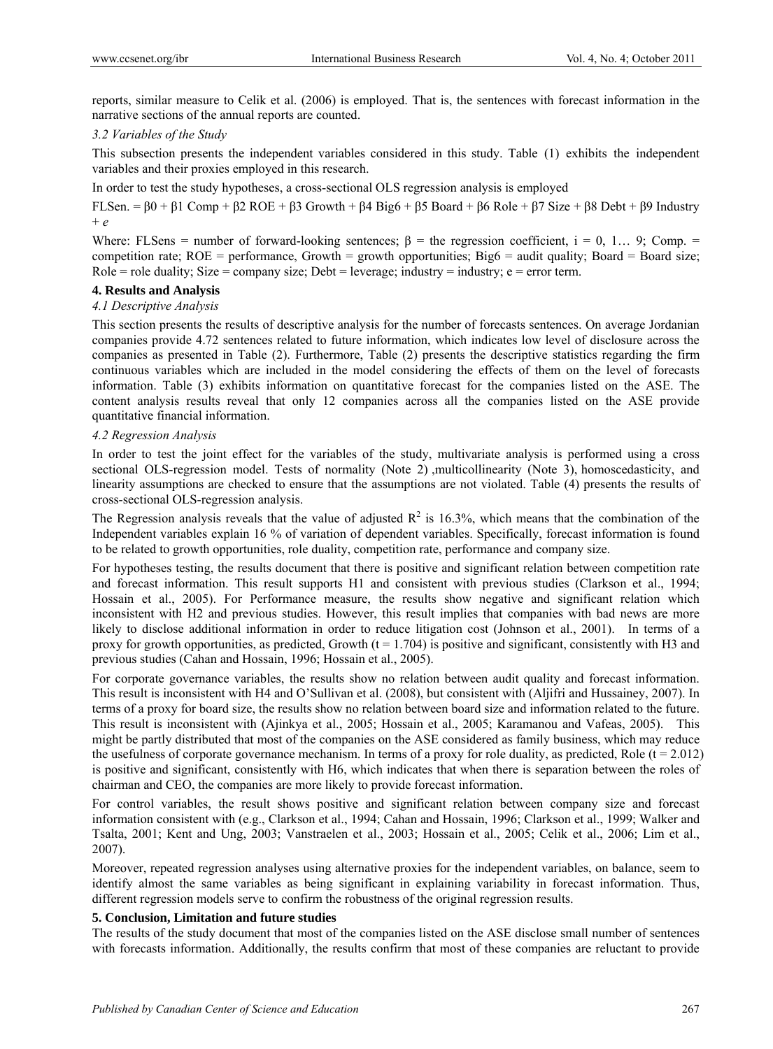reports, similar measure to Celik et al. (2006) is employed. That is, the sentences with forecast information in the narrative sections of the annual reports are counted.

# *3.2 Variables of the Study*

This subsection presents the independent variables considered in this study. Table (1) exhibits the independent variables and their proxies employed in this research.

In order to test the study hypotheses, a cross-sectional OLS regression analysis is employed

FLSen. =  $\beta$ 0 +  $\beta$ 1 Comp +  $\beta$ 2 ROE +  $\beta$ 3 Growth +  $\beta$ 4 Big6 +  $\beta$ 5 Board +  $\beta$ 6 Role +  $\beta$ 7 Size +  $\beta$ 8 Debt +  $\beta$ 9 Industry + *е*

Where: FLSens = number of forward-looking sentences;  $\beta$  = the regression coefficient, i = 0, 1… 9; Comp. = competition rate;  $ROE =$  performance, Growth = growth opportunities;  $Big =$  and  $angle$ ; Board = Board size; Role = role duality; Size = company size; Debt = leverage; industry = industry; e = error term.

# **4. Results and Analysis**

# *4.1 Descriptive Analysis*

This section presents the results of descriptive analysis for the number of forecasts sentences. On average Jordanian companies provide 4.72 sentences related to future information, which indicates low level of disclosure across the companies as presented in Table (2). Furthermore, Table (2) presents the descriptive statistics regarding the firm continuous variables which are included in the model considering the effects of them on the level of forecasts information. Table (3) exhibits information on quantitative forecast for the companies listed on the ASE. The content analysis results reveal that only 12 companies across all the companies listed on the ASE provide quantitative financial information.

# *4.2 Regression Analysis*

In order to test the joint effect for the variables of the study, multivariate analysis is performed using a cross sectional OLS-regression model. Tests of normality (Note 2) ,multicollinearity (Note 3), homoscedasticity, and linearity assumptions are checked to ensure that the assumptions are not violated. Table (4) presents the results of cross-sectional OLS-regression analysis.

The Regression analysis reveals that the value of adjusted  $R^2$  is 16.3%, which means that the combination of the Independent variables explain 16 % of variation of dependent variables. Specifically, forecast information is found to be related to growth opportunities, role duality, competition rate, performance and company size.

For hypotheses testing, the results document that there is positive and significant relation between competition rate and forecast information. This result supports H1 and consistent with previous studies (Clarkson et al., 1994; Hossain et al., 2005). For Performance measure, the results show negative and significant relation which inconsistent with H2 and previous studies. However, this result implies that companies with bad news are more likely to disclose additional information in order to reduce litigation cost (Johnson et al., 2001). In terms of a proxy for growth opportunities, as predicted, Growth  $(t = 1.704)$  is positive and significant, consistently with H3 and previous studies (Cahan and Hossain, 1996; Hossain et al., 2005).

For corporate governance variables, the results show no relation between audit quality and forecast information. This result is inconsistent with H4 and O'Sullivan et al. (2008), but consistent with (Aljifri and Hussainey, 2007). In terms of a proxy for board size, the results show no relation between board size and information related to the future. This result is inconsistent with (Ajinkya et al., 2005; Hossain et al., 2005; Karamanou and Vafeas, 2005). This might be partly distributed that most of the companies on the ASE considered as family business, which may reduce the usefulness of corporate governance mechanism. In terms of a proxy for role duality, as predicted, Role  $(t = 2.012)$ is positive and significant, consistently with H6, which indicates that when there is separation between the roles of chairman and CEO, the companies are more likely to provide forecast information.

For control variables, the result shows positive and significant relation between company size and forecast information consistent with (e.g., Clarkson et al., 1994; Cahan and Hossain, 1996; Clarkson et al., 1999; Walker and Tsalta, 2001; Kent and Ung, 2003; Vanstraelen et al., 2003; Hossain et al., 2005; Celik et al., 2006; Lim et al., 2007).

Moreover, repeated regression analyses using alternative proxies for the independent variables, on balance, seem to identify almost the same variables as being significant in explaining variability in forecast information. Thus, different regression models serve to confirm the robustness of the original regression results.

# **5. Conclusion, Limitation and future studies**

The results of the study document that most of the companies listed on the ASE disclose small number of sentences with forecasts information. Additionally, the results confirm that most of these companies are reluctant to provide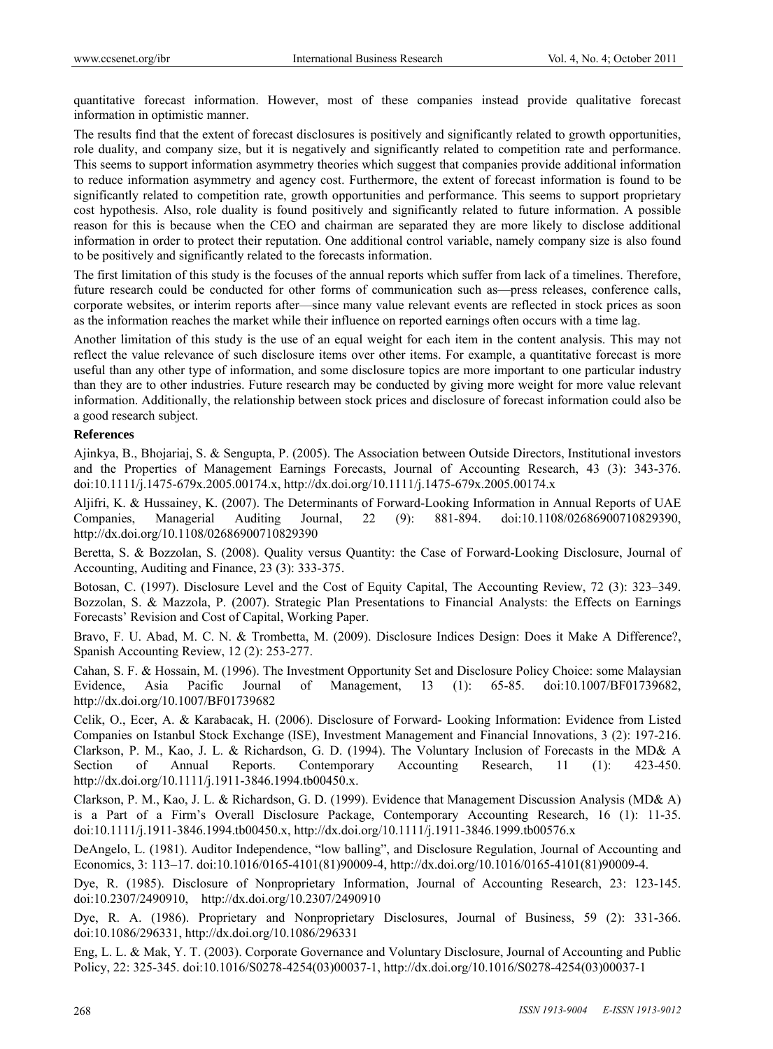quantitative forecast information. However, most of these companies instead provide qualitative forecast information in optimistic manner.

The results find that the extent of forecast disclosures is positively and significantly related to growth opportunities, role duality, and company size, but it is negatively and significantly related to competition rate and performance. This seems to support information asymmetry theories which suggest that companies provide additional information to reduce information asymmetry and agency cost. Furthermore, the extent of forecast information is found to be significantly related to competition rate, growth opportunities and performance. This seems to support proprietary cost hypothesis. Also, role duality is found positively and significantly related to future information. A possible reason for this is because when the CEO and chairman are separated they are more likely to disclose additional information in order to protect their reputation. One additional control variable, namely company size is also found to be positively and significantly related to the forecasts information.

The first limitation of this study is the focuses of the annual reports which suffer from lack of a timelines. Therefore, future research could be conducted for other forms of communication such as—press releases, conference calls, corporate websites, or interim reports after—since many value relevant events are reflected in stock prices as soon as the information reaches the market while their influence on reported earnings often occurs with a time lag.

Another limitation of this study is the use of an equal weight for each item in the content analysis. This may not reflect the value relevance of such disclosure items over other items. For example, a quantitative forecast is more useful than any other type of information, and some disclosure topics are more important to one particular industry than they are to other industries. Future research may be conducted by giving more weight for more value relevant information. Additionally, the relationship between stock prices and disclosure of forecast information could also be a good research subject.

## **References**

Ajinkya, B., Bhojariaj, S. & Sengupta, P. (2005). The Association between Outside Directors, Institutional investors and the Properties of Management Earnings Forecasts, Journal of Accounting Research, 43 (3): 343-376. doi:10.1111/j.1475-679x.2005.00174.x, http://dx.doi.org/10.1111/j.1475-679x.2005.00174.x

Aljifri, K. & Hussainey, K. (2007). The Determinants of Forward-Looking Information in Annual Reports of UAE Companies, Managerial Auditing Journal, 22 (9): 881-894. doi:10.1108/02686900710829390, http://dx.doi.org/10.1108/02686900710829390

Beretta, S. & Bozzolan, S. (2008). Quality versus Quantity: the Case of Forward-Looking Disclosure, Journal of Accounting, Auditing and Finance, 23 (3): 333-375.

Botosan, C. (1997). Disclosure Level and the Cost of Equity Capital, The Accounting Review, 72 (3): 323–349. Bozzolan, S. & Mazzola, P. (2007). Strategic Plan Presentations to Financial Analysts: the Effects on Earnings Forecasts' Revision and Cost of Capital, Working Paper.

Bravo, F. U. Abad, M. C. N. & Trombetta, M. (2009). Disclosure Indices Design: Does it Make A Difference?, Spanish Accounting Review, 12 (2): 253-277.

Cahan, S. F. & Hossain, M. (1996). The Investment Opportunity Set and Disclosure Policy Choice: some Malaysian Evidence, Asia Pacific Journal of Management, 13 (1): 65-85. doi:10.1007/BF01739682, http://dx.doi.org/10.1007/BF01739682

Celik, O., Ecer, A. & Karabacak, H. (2006). Disclosure of Forward- Looking Information: Evidence from Listed Companies on Istanbul Stock Exchange (ISE), Investment Management and Financial Innovations, 3 (2): 197-216. Clarkson, P. M., Kao, J. L. & Richardson, G. D. (1994). The Voluntary Inclusion of Forecasts in the MD& A Section of Annual Reports. Contemporary Accounting Research, 11 (1): 423-450. http://dx.doi.org/10.1111/j.1911-3846.1994.tb00450.x.

Clarkson, P. M., Kao, J. L. & Richardson, G. D. (1999). Evidence that Management Discussion Analysis (MD& A) is a Part of a Firm's Overall Disclosure Package, Contemporary Accounting Research, 16 (1): 11-35. doi:10.1111/j.1911-3846.1994.tb00450.x, http://dx.doi.org/10.1111/j.1911-3846.1999.tb00576.x

DeAngelo, L. (1981). Auditor Independence, "low balling", and Disclosure Regulation, Journal of Accounting and Economics, 3: 113–17. doi:10.1016/0165-4101(81)90009-4, http://dx.doi.org/10.1016/0165-4101(81)90009-4.

Dye, R. (1985). Disclosure of Nonproprietary Information, Journal of Accounting Research, 23: 123-145. doi:10.2307/2490910, http://dx.doi.org/10.2307/2490910

Dye, R. A. (1986). Proprietary and Nonproprietary Disclosures, Journal of Business, 59 (2): 331-366. doi:10.1086/296331, http://dx.doi.org/10.1086/296331

Eng, L. L. & Mak, Y. T. (2003). Corporate Governance and Voluntary Disclosure, Journal of Accounting and Public Policy, 22: 325-345. doi:10.1016/S0278-4254(03)00037-1, http://dx.doi.org/10.1016/S0278-4254(03)00037-1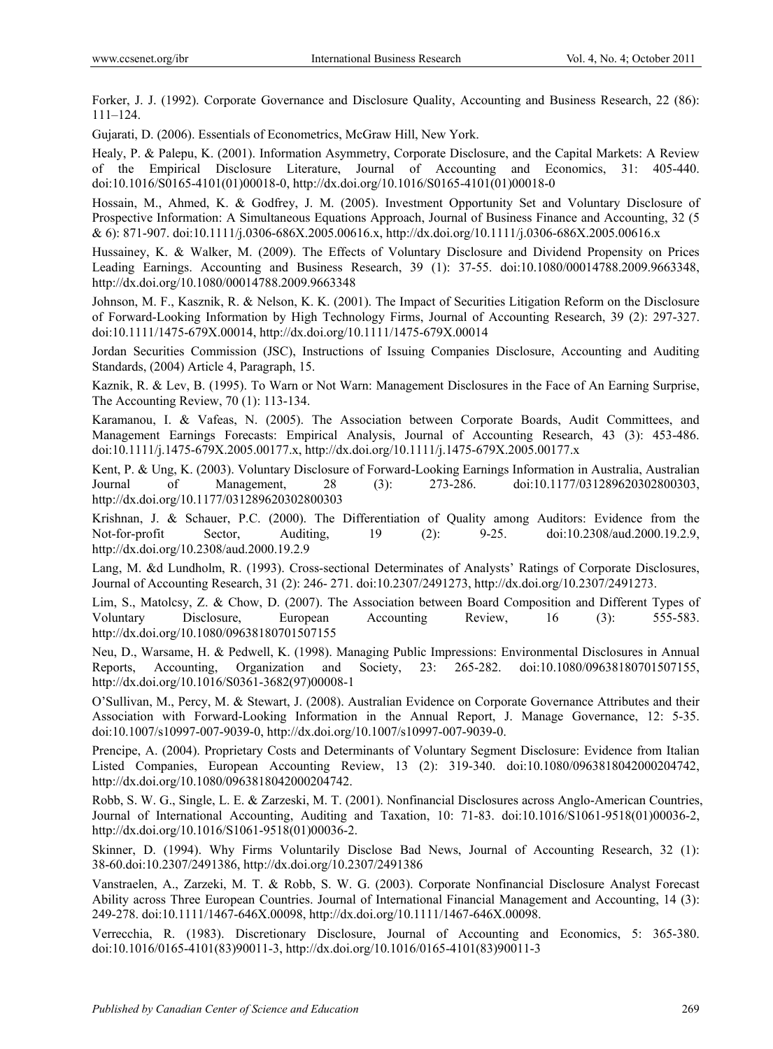Forker, J. J. (1992). Corporate Governance and Disclosure Quality, Accounting and Business Research, 22 (86): 111–124.

Gujarati, D. (2006). Essentials of Econometrics, McGraw Hill, New York.

Healy, P. & Palepu, K. (2001). Information Asymmetry, Corporate Disclosure, and the Capital Markets: A Review of the Empirical Disclosure Literature, Journal of Accounting and Economics, 31: 405-440. doi:10.1016/S0165-4101(01)00018-0, http://dx.doi.org/10.1016/S0165-4101(01)00018-0

Hossain, M., Ahmed, K. & Godfrey, J. M. (2005). Investment Opportunity Set and Voluntary Disclosure of Prospective Information: A Simultaneous Equations Approach, Journal of Business Finance and Accounting, 32 (5 & 6): 871-907. doi:10.1111/j.0306-686X.2005.00616.x, http://dx.doi.org/10.1111/j.0306-686X.2005.00616.x

Hussainey, K. & Walker, M. (2009). The Effects of Voluntary Disclosure and Dividend Propensity on Prices Leading Earnings. Accounting and Business Research, 39 (1): 37-55. doi:10.1080/00014788.2009.9663348, http://dx.doi.org/10.1080/00014788.2009.9663348

Johnson, M. F., Kasznik, R. & Nelson, K. K. (2001). The Impact of Securities Litigation Reform on the Disclosure of Forward-Looking Information by High Technology Firms, Journal of Accounting Research, 39 (2): 297-327. doi:10.1111/1475-679X.00014, http://dx.doi.org/10.1111/1475-679X.00014

Jordan Securities Commission (JSC), Instructions of Issuing Companies Disclosure, Accounting and Auditing Standards, (2004) Article 4, Paragraph, 15.

Kaznik, R. & Lev, B. (1995). To Warn or Not Warn: Management Disclosures in the Face of An Earning Surprise, The Accounting Review, 70 (1): 113-134.

Karamanou, I. & Vafeas, N. (2005). The Association between Corporate Boards, Audit Committees, and Management Earnings Forecasts: Empirical Analysis, Journal of Accounting Research, 43 (3): 453-486. doi:10.1111/j.1475-679X.2005.00177.x, http://dx.doi.org/10.1111/j.1475-679X.2005.00177.x

Kent, P. & Ung, K. (2003). Voluntary Disclosure of Forward-Looking Earnings Information in Australia, Australian<br>Journal of Management, 28 (3): 273-286. doi:10.1177/031289620302800303, of Management, 28 (3): 273-286. doi:10.1177/031289620302800303, http://dx.doi.org/10.1177/031289620302800303

Krishnan, J. & Schauer, P.C. (2000). The Differentiation of Quality among Auditors: Evidence from the Not-for-profit Sector, Auditing, 19 (2): 9-25. doi:10.2308/aud.2000.19.2.9, http://dx.doi.org/10.2308/aud.2000.19.2.9

Lang, M. &d Lundholm, R. (1993). Cross-sectional Determinates of Analysts' Ratings of Corporate Disclosures, Journal of Accounting Research, 31 (2): 246- 271. doi:10.2307/2491273, http://dx.doi.org/10.2307/2491273.

Lim, S., Matolcsy, Z. & Chow, D. (2007). The Association between Board Composition and Different Types of Voluntary Disclosure, European Accounting Review, 16 (3): 555-583. http://dx.doi.org/10.1080/09638180701507155

Neu, D., Warsame, H. & Pedwell, K. (1998). Managing Public Impressions: Environmental Disclosures in Annual Reports, Accounting, Organization and Society, 23: 265-282. doi:10.1080/09638180701507155, http://dx.doi.org/10.1016/S0361-3682(97)00008-1

O'Sullivan, M., Percy, M. & Stewart, J. (2008). Australian Evidence on Corporate Governance Attributes and their Association with Forward-Looking Information in the Annual Report, J. Manage Governance, 12: 5-35. doi:10.1007/s10997-007-9039-0, http://dx.doi.org/10.1007/s10997-007-9039-0.

Prencipe, A. (2004). Proprietary Costs and Determinants of Voluntary Segment Disclosure: Evidence from Italian Listed Companies, European Accounting Review, 13 (2): 319-340. doi:10.1080/0963818042000204742, http://dx.doi.org/10.1080/0963818042000204742.

Robb, S. W. G., Single, L. E. & Zarzeski, M. T. (2001). Nonfinancial Disclosures across Anglo-American Countries, Journal of International Accounting, Auditing and Taxation, 10: 71-83. doi:10.1016/S1061-9518(01)00036-2, http://dx.doi.org/10.1016/S1061-9518(01)00036-2.

Skinner, D. (1994). Why Firms Voluntarily Disclose Bad News, Journal of Accounting Research, 32 (1): 38-60.doi:10.2307/2491386, http://dx.doi.org/10.2307/2491386

Vanstraelen, A., Zarzeki, M. T. & Robb, S. W. G. (2003). Corporate Nonfinancial Disclosure Analyst Forecast Ability across Three European Countries. Journal of International Financial Management and Accounting, 14 (3): 249-278. doi:10.1111/1467-646X.00098, http://dx.doi.org/10.1111/1467-646X.00098.

Verrecchia, R. (1983). Discretionary Disclosure, Journal of Accounting and Economics, 5: 365-380. doi:10.1016/0165-4101(83)90011-3, http://dx.doi.org/10.1016/0165-4101(83)90011-3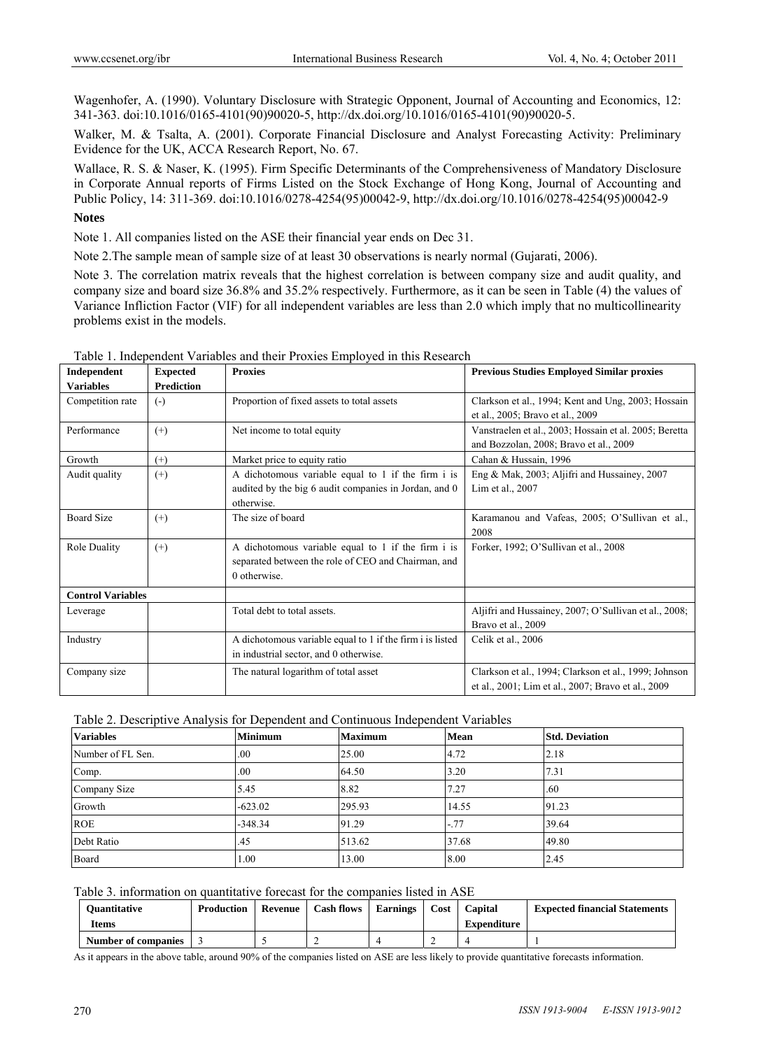Wagenhofer, A. (1990). Voluntary Disclosure with Strategic Opponent, Journal of Accounting and Economics, 12: 341-363. doi:10.1016/0165-4101(90)90020-5, http://dx.doi.org/10.1016/0165-4101(90)90020-5.

Walker, M. & Tsalta, A. (2001). Corporate Financial Disclosure and Analyst Forecasting Activity: Preliminary Evidence for the UK, ACCA Research Report, No. 67.

Wallace, R. S. & Naser, K. (1995). Firm Specific Determinants of the Comprehensiveness of Mandatory Disclosure in Corporate Annual reports of Firms Listed on the Stock Exchange of Hong Kong, Journal of Accounting and Public Policy, 14: 311-369. doi:10.1016/0278-4254(95)00042-9, http://dx.doi.org/10.1016/0278-4254(95)00042-9 **Notes** 

Note 1. All companies listed on the ASE their financial year ends on Dec 31.

Note 2.The sample mean of sample size of at least 30 observations is nearly normal (Gujarati, 2006).

Note 3. The correlation matrix reveals that the highest correlation is between company size and audit quality, and company size and board size 36.8% and 35.2% respectively. Furthermore, as it can be seen in Table (4) the values of Variance Infliction Factor (VIF) for all independent variables are less than 2.0 which imply that no multicollinearity problems exist in the models.

| Independent<br><b>Variables</b> | <b>Expected</b><br><b>Prediction</b> | <b>Proxies</b>                                                                                                              | <b>Previous Studies Employed Similar proxies</b>                                                            |  |
|---------------------------------|--------------------------------------|-----------------------------------------------------------------------------------------------------------------------------|-------------------------------------------------------------------------------------------------------------|--|
| Competition rate                | $(-)$                                | Proportion of fixed assets to total assets                                                                                  | Clarkson et al., 1994; Kent and Ung, 2003; Hossain<br>et al., 2005; Bravo et al., 2009                      |  |
| Performance                     | $^{(+)}$                             | Net income to total equity                                                                                                  | Vanstraelen et al., 2003; Hossain et al. 2005; Beretta<br>and Bozzolan, 2008; Bravo et al., 2009            |  |
| Growth                          | $^{(+)}$                             | Market price to equity ratio                                                                                                | Cahan & Hussain, 1996                                                                                       |  |
| Audit quality                   | $^{(+)}$                             | A dichotomous variable equal to 1 if the firm i is<br>audited by the big 6 audit companies in Jordan, and 0<br>otherwise.   | Eng & Mak, 2003; Aljifri and Hussainey, 2007<br>Lim et al., 2007                                            |  |
| <b>Board Size</b>               | $^{(+)}$                             | The size of board                                                                                                           | Karamanou and Vafeas, 2005; O'Sullivan et al.,<br>2008                                                      |  |
| Role Duality<br>$^{(+)}$        |                                      | A dichotomous variable equal to 1 if the firm i is<br>separated between the role of CEO and Chairman, and<br>$0$ otherwise. | Forker, 1992; O'Sullivan et al., 2008                                                                       |  |
| <b>Control Variables</b>        |                                      |                                                                                                                             |                                                                                                             |  |
| Leverage                        |                                      | Total debt to total assets.                                                                                                 | Aljifri and Hussainey, 2007; O'Sullivan et al., 2008;<br>Bravo et al., 2009                                 |  |
| Industry                        |                                      | A dichotomous variable equal to 1 if the firm i is listed<br>in industrial sector, and 0 otherwise.                         | Celik et al., 2006                                                                                          |  |
| Company size                    |                                      | The natural logarithm of total asset                                                                                        | Clarkson et al., 1994; Clarkson et al., 1999; Johnson<br>et al., 2001; Lim et al., 2007; Bravo et al., 2009 |  |

Table 1. Independent Variables and their Proxies Employed in this Research

Table 2. Descriptive Analysis for Dependent and Continuous Independent Variables

| <b>Variables</b>  | <b>Minimum</b> | <b>Maximum</b> | Mean   | <b>Std. Deviation</b> |
|-------------------|----------------|----------------|--------|-----------------------|
| Number of FL Sen. | $.00\,$        | 25.00          | 4.72   | 2.18                  |
| Comp.             | $.00\,$        | 64.50          | 3.20   | 7.31                  |
| Company Size      | 5.45           | 8.82           | 7.27   | .60                   |
| Growth            | $-623.02$      | 295.93         | 14.55  | 91.23                 |
| <b>ROE</b>        | $-348.34$      | 91.29          | $-.77$ | 39.64                 |
| Debt Ratio        | .45            | 513.62         | 37.68  | 49.80                 |
| Board             | 1.00           | 13.00          | 8.00   | 2.45                  |

Table 3. information on quantitative forecast for the companies listed in ASE

| <b>Ouantitative</b> | <b>Production</b> | Revenue | <b>Cash flows</b> | Earnings | Cost | Capital     | <b>Expected financial Statements</b> |
|---------------------|-------------------|---------|-------------------|----------|------|-------------|--------------------------------------|
| Items               |                   |         |                   |          |      | Expenditure |                                      |
| Number of companies |                   |         |                   |          | ∼    |             |                                      |

As it appears in the above table, around 90% of the companies listed on ASE are less likely to provide quantitative forecasts information.